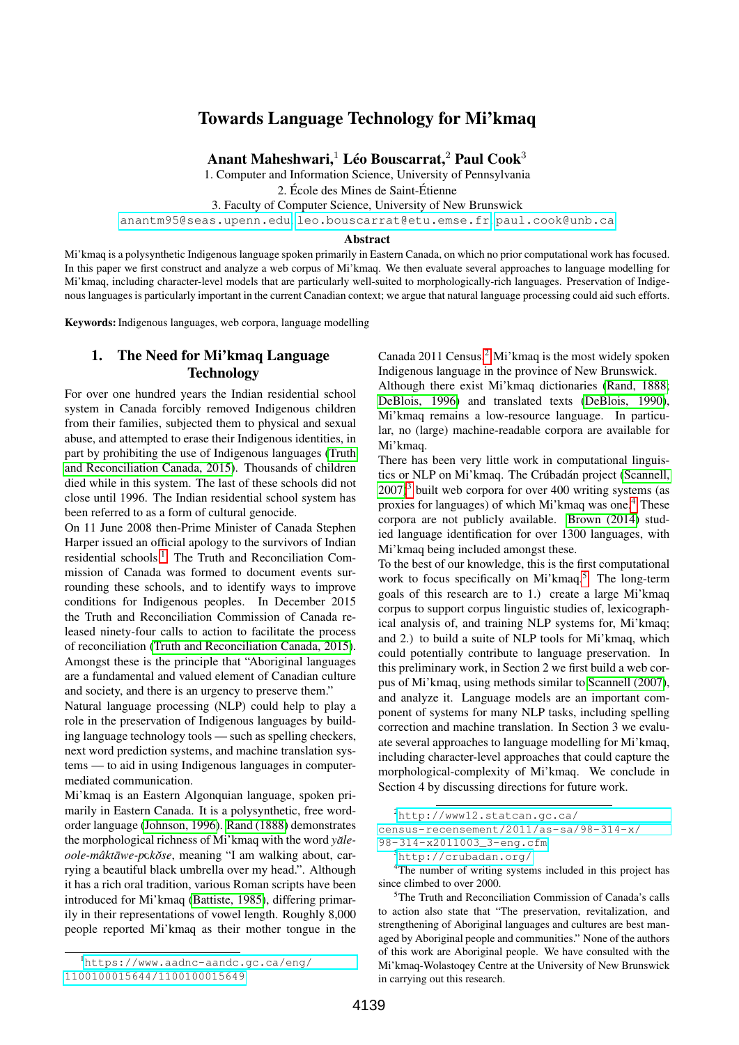# Towards Language Technology for Mi'kmaq

Anant Maheshwari, $^1$  Léo Bouscarrat, $^2$  Paul Cook $^3$ 

1. Computer and Information Science, University of Pennsylvania

2. École des Mines de Saint-Étienne

3. Faculty of Computer Science, University of New Brunswick

<anantm95@seas.upenn.edu>, <leo.bouscarrat@etu.emse.fr>, <paul.cook@unb.ca>

#### Abstract

Mi'kmaq is a polysynthetic Indigenous language spoken primarily in Eastern Canada, on which no prior computational work has focused. In this paper we first construct and analyze a web corpus of Mi'kmaq. We then evaluate several approaches to language modelling for Mi'kmaq, including character-level models that are particularly well-suited to morphologically-rich languages. Preservation of Indigenous languages is particularly important in the current Canadian context; we argue that natural language processing could aid such efforts.

Keywords: Indigenous languages, web corpora, language modelling

# 1. The Need for Mi'kmaq Language Technology

For over one hundred years the Indian residential school system in Canada forcibly removed Indigenous children from their families, subjected them to physical and sexual abuse, and attempted to erase their Indigenous identities, in part by prohibiting the use of Indigenous languages [\(Truth](#page-4-0) [and Reconciliation Canada, 2015\)](#page-4-0). Thousands of children died while in this system. The last of these schools did not close until 1996. The Indian residential school system has been referred to as a form of cultural genocide.

On 11 June 2008 then-Prime Minister of Canada Stephen Harper issued an official apology to the survivors of Indian residential schools.[1](#page-0-0) The Truth and Reconciliation Commission of Canada was formed to document events surrounding these schools, and to identify ways to improve conditions for Indigenous peoples. In December 2015 the Truth and Reconciliation Commission of Canada released ninety-four calls to action to facilitate the process of reconciliation [\(Truth and Reconciliation Canada, 2015\)](#page-4-0). Amongst these is the principle that "Aboriginal languages are a fundamental and valued element of Canadian culture and society, and there is an urgency to preserve them."

Natural language processing (NLP) could help to play a role in the preservation of Indigenous languages by building language technology tools — such as spelling checkers, next word prediction systems, and machine translation systems — to aid in using Indigenous languages in computermediated communication.

Mi'kmaq is an Eastern Algonquian language, spoken primarily in Eastern Canada. It is a polysynthetic, free wordorder language [\(Johnson, 1996\)](#page-4-1). [Rand \(1888\)](#page-4-2) demonstrates the morphological richness of Mi'kmaq with the word *yale- ˘ oole-mâktāwe-p*ckŏse, meaning "I am walking about, carrying a beautiful black umbrella over my head.". Although it has a rich oral tradition, various Roman scripts have been introduced for Mi'kmaq [\(Battiste, 1985\)](#page-4-3), differing primarily in their representations of vowel length. Roughly 8,000 people reported Mi'kmaq as their mother tongue in the

<span id="page-0-0"></span><sup>1</sup>[https://www.aadnc-aandc.gc.ca/eng/](https://www.aadnc-aandc.gc.ca/eng/1100100015644/1100100015649) [1100100015644/1100100015649](https://www.aadnc-aandc.gc.ca/eng/1100100015644/1100100015649)

Canada [2](#page-0-1)011 Census.<sup>2</sup> Mi'kmaq is the most widely spoken Indigenous language in the province of New Brunswick.

Although there exist Mi'kmaq dictionaries [\(Rand, 1888;](#page-4-2) [DeBlois, 1996\)](#page-4-4) and translated texts [\(DeBlois, 1990\)](#page-4-5), Mi'kmaq remains a low-resource language. In particular, no (large) machine-readable corpora are available for Mi'kmaq.

There has been very little work in computational linguis-tics or NLP on Mi'kmaq. The Crúbadán project [\(Scannell,](#page-4-6)  $2007$ <sup>[3](#page-0-2)</sup> built web corpora for over 400 writing systems (as proxies for languages) of which Mi'kmaq was one.[4](#page-0-3) These corpora are not publicly available. [Brown \(2014\)](#page-4-7) studied language identification for over 1300 languages, with Mi'kmaq being included amongst these.

To the best of our knowledge, this is the first computational work to focus specifically on Mi'kmaq.<sup>[5](#page-0-4)</sup> The long-term goals of this research are to 1.) create a large Mi'kmaq corpus to support corpus linguistic studies of, lexicographical analysis of, and training NLP systems for, Mi'kmaq; and 2.) to build a suite of NLP tools for Mi'kmaq, which could potentially contribute to language preservation. In this preliminary work, in Section 2 we first build a web corpus of Mi'kmaq, using methods similar to [Scannell \(2007\)](#page-4-6), and analyze it. Language models are an important component of systems for many NLP tasks, including spelling correction and machine translation. In Section 3 we evaluate several approaches to language modelling for Mi'kmaq, including character-level approaches that could capture the morphological-complexity of Mi'kmaq. We conclude in Section 4 by discussing directions for future work.

<span id="page-0-1"></span> $^{2}$ [http://www12.statcan.gc.ca/](http://www12.statcan.gc.ca/census-recensement/2011/as-sa/98-314-x/98-314-x2011003_3-eng.cfm) [census-recensement/2011/as-sa/98-314-x/](http://www12.statcan.gc.ca/census-recensement/2011/as-sa/98-314-x/98-314-x2011003_3-eng.cfm) [98-314-x2011003\\_3-eng.cfm](http://www12.statcan.gc.ca/census-recensement/2011/as-sa/98-314-x/98-314-x2011003_3-eng.cfm)

<sup>4</sup>The number of writing systems included in this project has since climbed to over 2000.

<span id="page-0-4"></span><sup>5</sup>The Truth and Reconciliation Commission of Canada's calls to action also state that "The preservation, revitalization, and strengthening of Aboriginal languages and cultures are best managed by Aboriginal people and communities." None of the authors of this work are Aboriginal people. We have consulted with the Mi'kmaq-Wolastoqey Centre at the University of New Brunswick in carrying out this research.

<span id="page-0-3"></span><span id="page-0-2"></span><sup>3</sup><http://crubadan.org/>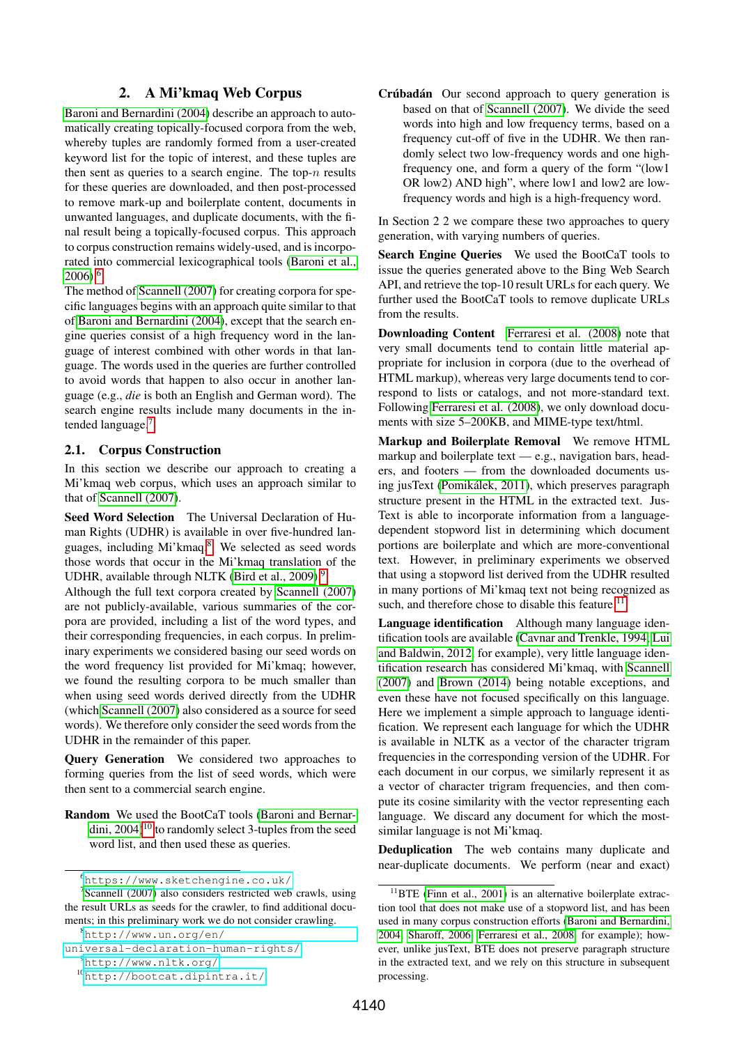# 2. A Mi'kmaq Web Corpus

[Baroni and Bernardini \(2004\)](#page-4-8) describe an approach to automatically creating topically-focused corpora from the web, whereby tuples are randomly formed from a user-created keyword list for the topic of interest, and these tuples are then sent as queries to a search engine. The top- $n$  results for these queries are downloaded, and then post-processed to remove mark-up and boilerplate content, documents in unwanted languages, and duplicate documents, with the final result being a topically-focused corpus. This approach to corpus construction remains widely-used, and is incorporated into commercial lexicographical tools [\(Baroni et al.,](#page-4-9)  $2006$  $2006$ <sup>6</sup>

The method of [Scannell \(2007\)](#page-4-6) for creating corpora for specific languages begins with an approach quite similar to that of [Baroni and Bernardini \(2004\)](#page-4-8), except that the search engine queries consist of a high frequency word in the language of interest combined with other words in that language. The words used in the queries are further controlled to avoid words that happen to also occur in another language (e.g., *die* is both an English and German word). The search engine results include many documents in the in-tended language.<sup>[7](#page-1-1)</sup>

# 2.1. Corpus Construction

In this section we describe our approach to creating a Mi'kmaq web corpus, which uses an approach similar to that of [Scannell \(2007\)](#page-4-6).

Seed Word Selection The Universal Declaration of Human Rights (UDHR) is available in over five-hundred languages, including Mi'kmaq.[8](#page-1-2) We selected as seed words those words that occur in the Mi'kmaq translation of the UDHR, available through NLTK [\(Bird et al., 2009\)](#page-4-10).<sup>[9](#page-1-3)</sup>

Although the full text corpora created by [Scannell \(2007\)](#page-4-6) are not publicly-available, various summaries of the corpora are provided, including a list of the word types, and their corresponding frequencies, in each corpus. In preliminary experiments we considered basing our seed words on the word frequency list provided for Mi'kmaq; however, we found the resulting corpora to be much smaller than when using seed words derived directly from the UDHR (which [Scannell \(2007\)](#page-4-6) also considered as a source for seed words). We therefore only consider the seed words from the UDHR in the remainder of this paper.

Query Generation We considered two approaches to forming queries from the list of seed words, which were then sent to a commercial search engine.

Random We used the BootCaT tools [\(Baroni and Bernar](#page-4-8)dini,  $2004$ <sup>[10](#page-1-4)</sup> to randomly select 3-tuples from the seed word list, and then used these as queries.

```
universal-declaration-human-rights/
9http://www.nltk.org/
```

```
10http://bootcat.dipintra.it/
```
Crúbadán Our second approach to query generation is based on that of [Scannell \(2007\)](#page-4-6). We divide the seed words into high and low frequency terms, based on a frequency cut-off of five in the UDHR. We then randomly select two low-frequency words and one highfrequency one, and form a query of the form "(low1 OR low2) AND high", where low1 and low2 are lowfrequency words and high is a high-frequency word.

In Section 2 2 we compare these two approaches to query generation, with varying numbers of queries.

Search Engine Queries We used the BootCaT tools to issue the queries generated above to the Bing Web Search API, and retrieve the top-10 result URLs for each query. We further used the BootCaT tools to remove duplicate URLs from the results.

Downloading Content [Ferraresi et al. \(2008\)](#page-4-11) note that very small documents tend to contain little material appropriate for inclusion in corpora (due to the overhead of HTML markup), whereas very large documents tend to correspond to lists or catalogs, and not more-standard text. Following [Ferraresi et al. \(2008\)](#page-4-11), we only download documents with size 5–200KB, and MIME-type text/html.

Markup and Boilerplate Removal We remove HTML markup and boilerplate text — e.g., navigation bars, headers, and footers — from the downloaded documents using jusText [\(Pomikalek, 2011\)](#page-4-12), which preserves paragraph ´ structure present in the HTML in the extracted text. Jus-Text is able to incorporate information from a languagedependent stopword list in determining which document portions are boilerplate and which are more-conventional text. However, in preliminary experiments we observed that using a stopword list derived from the UDHR resulted in many portions of Mi'kmaq text not being recognized as such, and therefore chose to disable this feature.<sup>[11](#page-1-5)</sup>

Language identification Although many language identification tools are available [\(Cavnar and Trenkle, 1994;](#page-4-13) [Lui](#page-4-14) [and Baldwin, 2012,](#page-4-14) for example), very little language identification research has considered Mi'kmaq, with [Scannell](#page-4-6) [\(2007\)](#page-4-6) and [Brown \(2014\)](#page-4-7) being notable exceptions, and even these have not focused specifically on this language. Here we implement a simple approach to language identification. We represent each language for which the UDHR is available in NLTK as a vector of the character trigram frequencies in the corresponding version of the UDHR. For each document in our corpus, we similarly represent it as a vector of character trigram frequencies, and then compute its cosine similarity with the vector representing each language. We discard any document for which the mostsimilar language is not Mi'kmaq.

Deduplication The web contains many duplicate and near-duplicate documents. We perform (near and exact)

<span id="page-1-1"></span><span id="page-1-0"></span><sup>6</sup><https://www.sketchengine.co.uk/>

<sup>7</sup> [Scannell \(2007\)](#page-4-6) also considers restricted web crawls, using the result URLs as seeds for the crawler, to find additional documents; in this preliminary work we do not consider crawling.

<span id="page-1-2"></span><sup>8</sup>[http://www.un.org/en/](http://www.un.org/en/universal-declaration-human-rights/)

<span id="page-1-5"></span> $11$ BTE [\(Finn et al., 2001\)](#page-4-15) is an alternative boilerplate extraction tool that does not make use of a stopword list, and has been used in many corpus construction efforts [\(Baroni and Bernardini,](#page-4-8) [2004;](#page-4-8) [Sharoff, 2006;](#page-4-16) [Ferraresi et al., 2008,](#page-4-11) for example); however, unlike jusText, BTE does not preserve paragraph structure in the extracted text, and we rely on this structure in subsequent processing.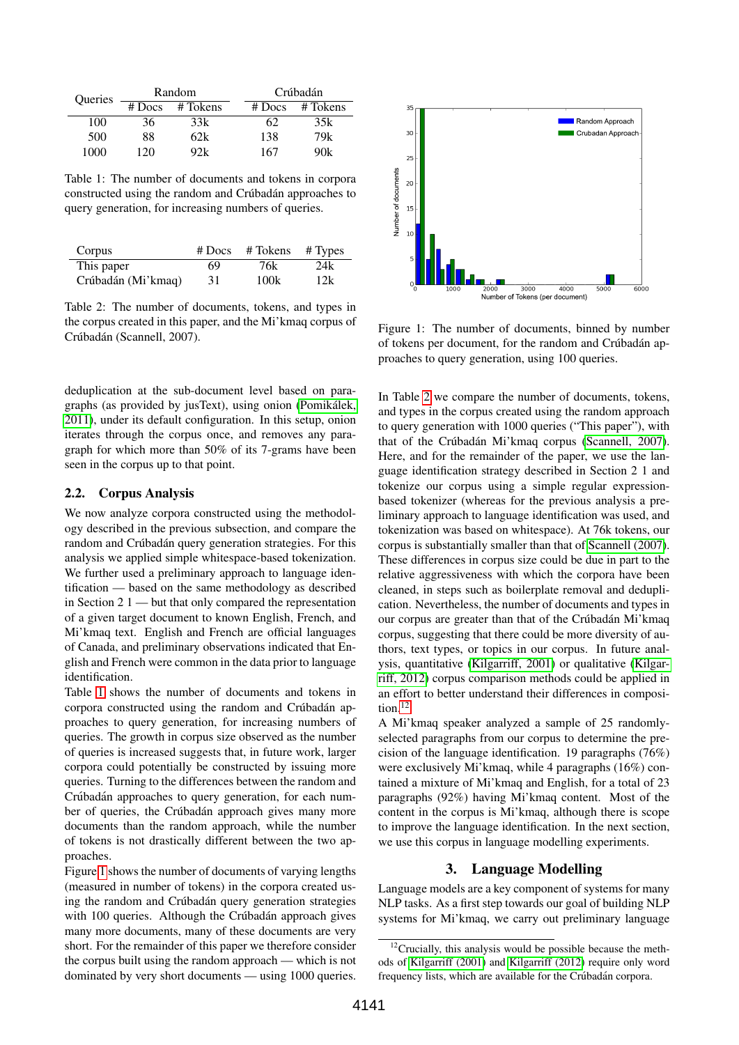| Queries | Random   |          | Crúbadán |          |
|---------|----------|----------|----------|----------|
|         | $#$ Docs | # Tokens | $#$ Docs | # Tokens |
| 100     | 36       | 33k      | 62       | 35k      |
| 500     | 88       | 62k      | 138      | 79k      |
| 1000    | 120      | 92k      | 167      | 90k      |

<span id="page-2-0"></span>Table 1: The number of documents and tokens in corpora constructed using the random and Crúbadán approaches to query generation, for increasing numbers of queries.

| Corpus             | $#$ Docs | $# \text{Tokens}$ $# \text{Types}$ |     |
|--------------------|----------|------------------------------------|-----|
| This paper         | 69       | 76k                                | 24k |
| Crúbadán (Mi'kmaq) | 31       | 100k                               | 12k |

<span id="page-2-2"></span>Table 2: The number of documents, tokens, and types in the corpus created in this paper, and the Mi'kmaq corpus of Crúbadán (Scannell, 2007).

deduplication at the sub-document level based on paragraphs (as provided by jusText), using onion [\(Pomikalek,](#page-4-12) ´ [2011\)](#page-4-12), under its default configuration. In this setup, onion iterates through the corpus once, and removes any paragraph for which more than 50% of its 7-grams have been seen in the corpus up to that point.

#### 2.2. Corpus Analysis

We now analyze corpora constructed using the methodology described in the previous subsection, and compare the random and Crúbadán query generation strategies. For this analysis we applied simple whitespace-based tokenization. We further used a preliminary approach to language identification — based on the same methodology as described in Section 2 1 — but that only compared the representation of a given target document to known English, French, and Mi'kmaq text. English and French are official languages of Canada, and preliminary observations indicated that English and French were common in the data prior to language identification.

Table [1](#page-2-0) shows the number of documents and tokens in corpora constructed using the random and Crúbadán approaches to query generation, for increasing numbers of queries. The growth in corpus size observed as the number of queries is increased suggests that, in future work, larger corpora could potentially be constructed by issuing more queries. Turning to the differences between the random and Crúbadán approaches to query generation, for each number of queries, the Crúbadán approach gives many more documents than the random approach, while the number of tokens is not drastically different between the two approaches.

Figure [1](#page-2-1) shows the number of documents of varying lengths (measured in number of tokens) in the corpora created using the random and Crúbadán query generation strategies with 100 queries. Although the Crúbadán approach gives many more documents, many of these documents are very short. For the remainder of this paper we therefore consider the corpus built using the random approach — which is not dominated by very short documents — using 1000 queries.



<span id="page-2-1"></span>Figure 1: The number of documents, binned by number of tokens per document, for the random and Crúbadán approaches to query generation, using 100 queries.

In Table [2](#page-2-2) we compare the number of documents, tokens, and types in the corpus created using the random approach to query generation with 1000 queries ("This paper"), with that of the Crúbadán Mi'kmaq corpus [\(Scannell, 2007\)](#page-4-6). Here, and for the remainder of the paper, we use the language identification strategy described in Section 2 1 and tokenize our corpus using a simple regular expressionbased tokenizer (whereas for the previous analysis a preliminary approach to language identification was used, and tokenization was based on whitespace). At 76k tokens, our corpus is substantially smaller than that of [Scannell \(2007\)](#page-4-6). These differences in corpus size could be due in part to the relative aggressiveness with which the corpora have been cleaned, in steps such as boilerplate removal and deduplication. Nevertheless, the number of documents and types in our corpus are greater than that of the Crúbadán Mi'kmaq corpus, suggesting that there could be more diversity of authors, text types, or topics in our corpus. In future analysis, quantitative [\(Kilgarriff, 2001\)](#page-4-17) or qualitative [\(Kilgar](#page-4-18)[riff, 2012\)](#page-4-18) corpus comparison methods could be applied in an effort to better understand their differences in composi-tion.<sup>[12](#page-2-3)</sup>

A Mi'kmaq speaker analyzed a sample of 25 randomlyselected paragraphs from our corpus to determine the precision of the language identification. 19 paragraphs (76%) were exclusively Mi'kmaq, while 4 paragraphs (16%) contained a mixture of Mi'kmaq and English, for a total of 23 paragraphs (92%) having Mi'kmaq content. Most of the content in the corpus is Mi'kmaq, although there is scope to improve the language identification. In the next section, we use this corpus in language modelling experiments.

### 3. Language Modelling

Language models are a key component of systems for many NLP tasks. As a first step towards our goal of building NLP systems for Mi'kmaq, we carry out preliminary language

<span id="page-2-3"></span> $12$ Crucially, this analysis would be possible because the methods of [Kilgarriff \(2001\)](#page-4-17) and [Kilgarriff \(2012\)](#page-4-18) require only word frequency lists, which are available for the Crúbadán corpora.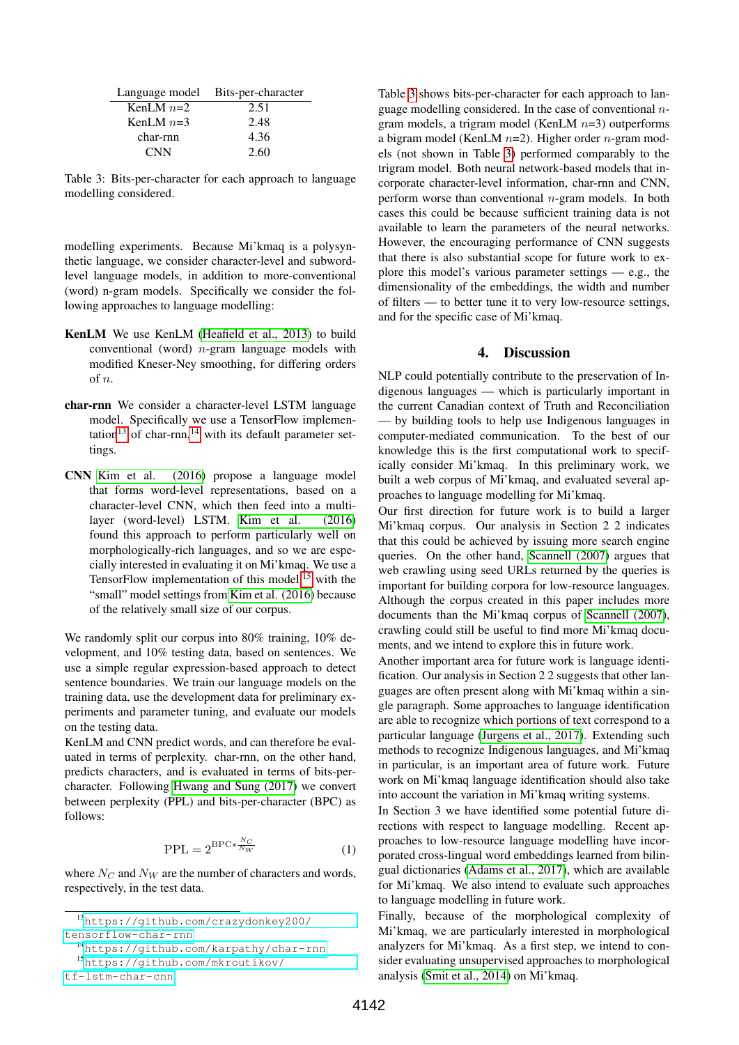|             | Language model Bits-per-character |
|-------------|-----------------------------------|
| KenLM $n=2$ | 2.51                              |
| KenLM $n=3$ | 2.48                              |
| char-rnn    | 4.36                              |
| <b>CNN</b>  | 2.60                              |

<span id="page-3-3"></span>Table 3: Bits-per-character for each approach to language modelling considered.

modelling experiments. Because Mi'kmaq is a polysynthetic language, we consider character-level and subwordlevel language models, in addition to more-conventional (word) n-gram models. Specifically we consider the following approaches to language modelling:

- KenLM We use KenLM [\(Heafield et al., 2013\)](#page-4-19) to build conventional (word)  $n$ -gram language models with modified Kneser-Ney smoothing, for differing orders  $\alpha$ f n.
- char-rnn We consider a character-level LSTM language model. Specifically we use a TensorFlow implemen-tation<sup>[13](#page-3-0)</sup> of char-rnn,<sup>[14](#page-3-1)</sup> with its default parameter settings.
- CNN [Kim et al. \(2016\)](#page-4-20) propose a language model that forms word-level representations, based on a character-level CNN, which then feed into a multilayer (word-level) LSTM. [Kim et al. \(2016\)](#page-4-20) found this approach to perform particularly well on morphologically-rich languages, and so we are especially interested in evaluating it on Mi'kmaq. We use a TensorFlow implementation of this model,<sup>[15](#page-3-2)</sup> with the "small" model settings from [Kim et al. \(2016\)](#page-4-20) because of the relatively small size of our corpus.

We randomly split our corpus into 80% training, 10% development, and 10% testing data, based on sentences. We use a simple regular expression-based approach to detect sentence boundaries. We train our language models on the training data, use the development data for preliminary experiments and parameter tuning, and evaluate our models on the testing data.

KenLM and CNN predict words, and can therefore be evaluated in terms of perplexity. char-rnn, on the other hand, predicts characters, and is evaluated in terms of bits-percharacter. Following [Hwang and Sung \(2017\)](#page-4-21) we convert between perplexity (PPL) and bits-per-character (BPC) as follows:

$$
PPL = 2^{BPC* \frac{N_C}{N_W}} \tag{1}
$$

where  $N_C$  and  $N_W$  are the number of characters and words, respectively, in the test data.

<span id="page-3-1"></span><sup>14</sup><https://github.com/karpathy/char-rnn>

[tf-lstm-char-cnn](https://github.com/mkroutikov/tf-lstm-char-cnn)

Table [3](#page-3-3) shows bits-per-character for each approach to language modelling considered. In the case of conventional  $n$ gram models, a trigram model (KenLM  $n=3$ ) outperforms a bigram model (KenLM  $n=2$ ). Higher order  $n$ -gram models (not shown in Table [3\)](#page-3-3) performed comparably to the trigram model. Both neural network-based models that incorporate character-level information, char-rnn and CNN, perform worse than conventional  $n$ -gram models. In both cases this could be because sufficient training data is not available to learn the parameters of the neural networks. However, the encouraging performance of CNN suggests that there is also substantial scope for future work to explore this model's various parameter settings  $-$  e.g., the dimensionality of the embeddings, the width and number of filters — to better tune it to very low-resource settings, and for the specific case of Mi'kmaq.

# 4. Discussion

NLP could potentially contribute to the preservation of Indigenous languages — which is particularly important in the current Canadian context of Truth and Reconciliation — by building tools to help use Indigenous languages in computer-mediated communication. To the best of our knowledge this is the first computational work to specifically consider Mi'kmaq. In this preliminary work, we built a web corpus of Mi'kmaq, and evaluated several approaches to language modelling for Mi'kmaq.

Our first direction for future work is to build a larger Mi'kmaq corpus. Our analysis in Section 2 2 indicates that this could be achieved by issuing more search engine queries. On the other hand, [Scannell \(2007\)](#page-4-6) argues that web crawling using seed URLs returned by the queries is important for building corpora for low-resource languages. Although the corpus created in this paper includes more documents than the Mi'kmaq corpus of [Scannell \(2007\)](#page-4-6), crawling could still be useful to find more Mi'kmaq documents, and we intend to explore this in future work.

Another important area for future work is language identification. Our analysis in Section 2 2 suggests that other languages are often present along with Mi'kmaq within a single paragraph. Some approaches to language identification are able to recognize which portions of text correspond to a particular language [\(Jurgens et al., 2017\)](#page-4-22). Extending such methods to recognize Indigenous languages, and Mi'kmaq in particular, is an important area of future work. Future work on Mi'kmaq language identification should also take into account the variation in Mi'kmaq writing systems.

In Section 3 we have identified some potential future directions with respect to language modelling. Recent approaches to low-resource language modelling have incorporated cross-lingual word embeddings learned from bilingual dictionaries [\(Adams et al., 2017\)](#page-4-23), which are available for Mi'kmaq. We also intend to evaluate such approaches to language modelling in future work.

Finally, because of the morphological complexity of Mi'kmaq, we are particularly interested in morphological analyzers for Mi'kmaq. As a first step, we intend to consider evaluating unsupervised approaches to morphological analysis [\(Smit et al., 2014\)](#page-4-24) on Mi'kmaq.

<span id="page-3-0"></span><sup>13</sup>[https://github.com/crazydonkey200/](https://github.com/crazydonkey200/tensorflow-char-rnn) [tensorflow-char-rnn](https://github.com/crazydonkey200/tensorflow-char-rnn)

<span id="page-3-2"></span><sup>15</sup>[https://github.com/mkroutikov/](https://github.com/mkroutikov/tf-lstm-char-cnn)